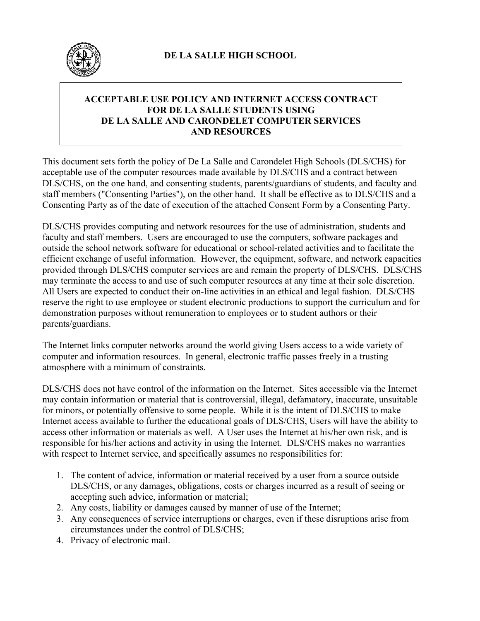

# **ACCEPTABLE USE POLICY AND INTERNET ACCESS CONTRACT FOR DE LA SALLE STUDENTS USING DE LA SALLE AND CARONDELET COMPUTER SERVICES AND RESOURCES**

This document sets forth the policy of De La Salle and Carondelet High Schools (DLS/CHS) for acceptable use of the computer resources made available by DLS/CHS and a contract between DLS/CHS, on the one hand, and consenting students, parents/guardians of students, and faculty and staff members ("Consenting Parties"), on the other hand. It shall be effective as to DLS/CHS and a Consenting Party as of the date of execution of the attached Consent Form by a Consenting Party.

DLS/CHS provides computing and network resources for the use of administration, students and faculty and staff members. Users are encouraged to use the computers, software packages and outside the school network software for educational or school-related activities and to facilitate the efficient exchange of useful information. However, the equipment, software, and network capacities provided through DLS/CHS computer services are and remain the property of DLS/CHS. DLS/CHS may terminate the access to and use of such computer resources at any time at their sole discretion. All Users are expected to conduct their on-line activities in an ethical and legal fashion. DLS/CHS reserve the right to use employee or student electronic productions to support the curriculum and for demonstration purposes without remuneration to employees or to student authors or their parents/guardians.

The Internet links computer networks around the world giving Users access to a wide variety of computer and information resources. In general, electronic traffic passes freely in a trusting atmosphere with a minimum of constraints.

DLS/CHS does not have control of the information on the Internet. Sites accessible via the Internet may contain information or material that is controversial, illegal, defamatory, inaccurate, unsuitable for minors, or potentially offensive to some people. While it is the intent of DLS/CHS to make Internet access available to further the educational goals of DLS/CHS, Users will have the ability to access other information or materials as well. A User uses the Internet at his/her own risk, and is responsible for his/her actions and activity in using the Internet. DLS/CHS makes no warranties with respect to Internet service, and specifically assumes no responsibilities for:

- 1. The content of advice, information or material received by a user from a source outside DLS/CHS, or any damages, obligations, costs or charges incurred as a result of seeing or accepting such advice, information or material;
- 2. Any costs, liability or damages caused by manner of use of the Internet;
- 3. Any consequences of service interruptions or charges, even if these disruptions arise from circumstances under the control of DLS/CHS;
- 4. Privacy of electronic mail.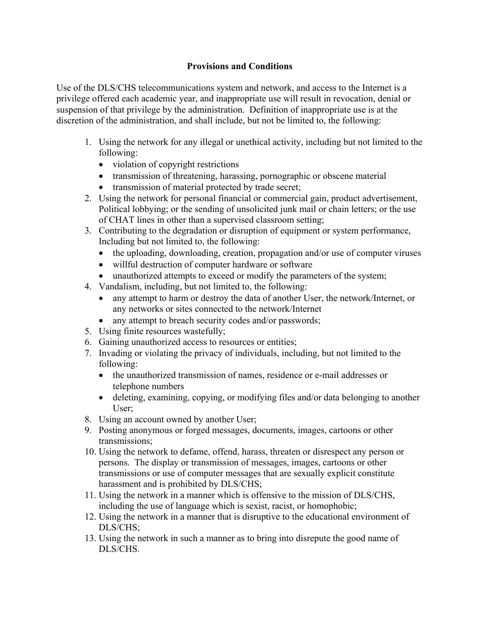# **Provisions and Conditions**

Use of the DLS/CHS telecommunications system and network, and access to the Internet is a privilege offered each academic year, and inappropriate use will result in revocation, denial or suspension of that privilege by the administration. Definition of inappropriate use is at the discretion of the administration, and shall include, but not be limited to, the following:

- 1. Using the network for any illegal or unethical activity, including but not limited to the following:
	- violation of copyright restrictions
	- transmission of threatening, harassing, pornographic or obscene material
	- transmission of material protected by trade secret;
- 2. Using the network for personal financial or commercial gain, product advertisement, Political lobbying; or the sending of unsolicited junk mail or chain letters; or the use of CHAT lines in other than a supervised classroom setting;
- 3. Contributing to the degradation or disruption of equipment or system performance, Including but not limited to, the following:
	- the uploading, downloading, creation, propagation and/or use of computer viruses
	- willful destruction of computer hardware or software
	- unauthorized attempts to exceed or modify the parameters of the system;
- 4. Vandalism, including, but not limited to, the following:
	- any attempt to harm or destroy the data of another User, the network/Internet, or any networks or sites connected to the network/Internet
	- any attempt to breach security codes and/or passwords;
- 5. Using finite resources wastefully;
- 6. Gaining unauthorized access to resources or entities;
- 7. Invading or violating the privacy of individuals, including, but not limited to the following:
	- the unauthorized transmission of names, residence or e-mail addresses or telephone numbers
	- deleting, examining, copying, or modifying files and/or data belonging to another User;
- 8. Using an account owned by another User;
- 9. Posting anonymous or forged messages, documents, images, cartoons or other transmissions;
- 10. Using the network to defame, offend, harass, threaten or disrespect any person or persons. The display or transmission of messages, images, cartoons or other transmissions or use of computer messages that are sexually explicit constitute harassment and is prohibited by DLS/CHS;
- 11. Using the network in a manner which is offensive to the mission of DLS/CHS, including the use of language which is sexist, racist, or homophobic;
- 12. Using the network in a manner that is disruptive to the educational environment of DLS/CHS;
- 13. Using the network in such a manner as to bring into disrepute the good name of DLS/CHS.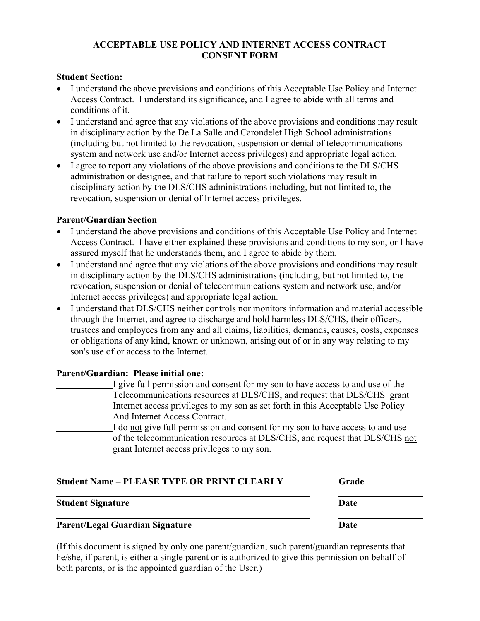## **ACCEPTABLE USE POLICY AND INTERNET ACCESS CONTRACT CONSENT FORM**

### **Student Section:**

- I understand the above provisions and conditions of this Acceptable Use Policy and Internet Access Contract. I understand its significance, and I agree to abide with all terms and conditions of it.
- I understand and agree that any violations of the above provisions and conditions may result in disciplinary action by the De La Salle and Carondelet High School administrations (including but not limited to the revocation, suspension or denial of telecommunications system and network use and/or Internet access privileges) and appropriate legal action.
- I agree to report any violations of the above provisions and conditions to the DLS/CHS administration or designee, and that failure to report such violations may result in disciplinary action by the DLS/CHS administrations including, but not limited to, the revocation, suspension or denial of Internet access privileges.

#### **Parent/Guardian Section**

- I understand the above provisions and conditions of this Acceptable Use Policy and Internet Access Contract. I have either explained these provisions and conditions to my son, or I have assured myself that he understands them, and I agree to abide by them.
- I understand and agree that any violations of the above provisions and conditions may result in disciplinary action by the DLS/CHS administrations (including, but not limited to, the revocation, suspension or denial of telecommunications system and network use, and/or Internet access privileges) and appropriate legal action.
- I understand that DLS/CHS neither controls nor monitors information and material accessible through the Internet, and agree to discharge and hold harmless DLS/CHS, their officers, trustees and employees from any and all claims, liabilities, demands, causes, costs, expenses or obligations of any kind, known or unknown, arising out of or in any way relating to my son's use of or access to the Internet.

## **Parent/Guardian: Please initial one:**

 I give full permission and consent for my son to have access to and use of the Telecommunications resources at DLS/CHS, and request that DLS/CHS grant Internet access privileges to my son as set forth in this Acceptable Use Policy And Internet Access Contract. I do not give full permission and consent for my son to have access to and use of the telecommunication resources at DLS/CHS, and request that DLS/CHS not grant Internet access privileges to my son.

| <b>Student Name – PLEASE TYPE OR PRINT CLEARLY</b> | Grade |
|----------------------------------------------------|-------|
| <b>Student Signature</b>                           | Date  |
| <b>Parent/Legal Guardian Signature</b>             | Date  |

(If this document is signed by only one parent/guardian, such parent/guardian represents that he/she, if parent, is either a single parent or is authorized to give this permission on behalf of both parents, or is the appointed guardian of the User.)